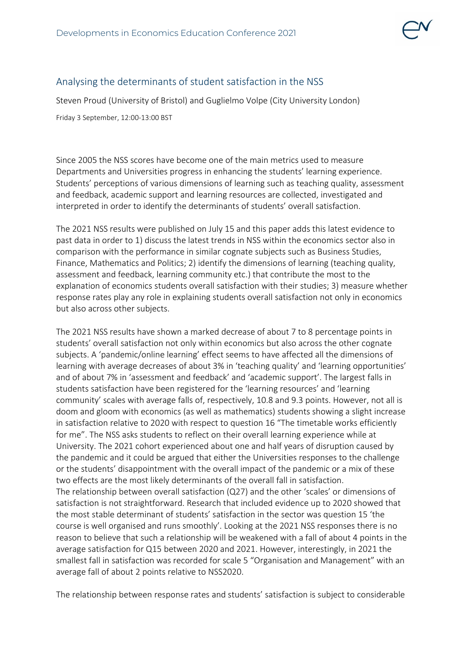

## Analysing the determinants of student satisfaction in the NSS

Steven Proud (University of Bristol) and Guglielmo Volpe (City University London)

Friday 3 September, 12:00-13:00 BST

Since 2005 the NSS scores have become one of the main metrics used to measure Departments and Universities progress in enhancing the students' learning experience. Students' perceptions of various dimensions of learning such as teaching quality, assessment and feedback, academic support and learning resources are collected, investigated and interpreted in order to identify the determinants of students' overall satisfaction.

The 2021 NSS results were published on July 15 and this paper adds this latest evidence to past data in order to 1) discuss the latest trends in NSS within the economics sector also in comparison with the performance in similar cognate subjects such as Business Studies, Finance, Mathematics and Politics; 2) identify the dimensions of learning (teaching quality, assessment and feedback, learning community etc.) that contribute the most to the explanation of economics students overall satisfaction with their studies; 3) measure whether response rates play any role in explaining students overall satisfaction not only in economics but also across other subjects.

The 2021 NSS results have shown a marked decrease of about 7 to 8 percentage points in students' overall satisfaction not only within economics but also across the other cognate subjects. A 'pandemic/online learning' effect seems to have affected all the dimensions of learning with average decreases of about 3% in 'teaching quality' and 'learning opportunities' and of about 7% in 'assessment and feedback' and 'academic support'. The largest falls in students satisfaction have been registered for the 'learning resources' and 'learning community' scales with average falls of, respectively, 10.8 and 9.3 points. However, not all is doom and gloom with economics (as well as mathematics) students showing a slight increase in satisfaction relative to 2020 with respect to question 16 "The timetable works efficiently for me". The NSS asks students to reflect on their overall learning experience while at University. The 2021 cohort experienced about one and half years of disruption caused by the pandemic and it could be argued that either the Universities responses to the challenge or the students' disappointment with the overall impact of the pandemic or a mix of these two effects are the most likely determinants of the overall fall in satisfaction. The relationship between overall satisfaction (Q27) and the other 'scales' or dimensions of satisfaction is not straightforward. Research that included evidence up to 2020 showed that the most stable determinant of students' satisfaction in the sector was question 15 'the course is well organised and runs smoothly'. Looking at the 2021 NSS responses there is no reason to believe that such a relationship will be weakened with a fall of about 4 points in the average satisfaction for Q15 between 2020 and 2021. However, interestingly, in 2021 the smallest fall in satisfaction was recorded for scale 5 "Organisation and Management" with an average fall of about 2 points relative to NSS2020.

The relationship between response rates and students' satisfaction is subject to considerable